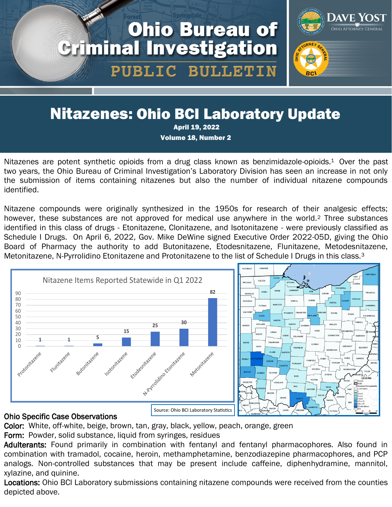# **Ohio Bureau of Criminal Investigation** PUBLIC BULLETIN



## Nitazenes: Ohio BCI Laboratory Update

April 19, 2022

Volume 18, Number 2

Nitazenes are potent synthetic opioids from a drug class known as benzimidazole-opioids.<sup>1</sup> Over the past two years, the Ohio Bureau of Criminal Investigation's Laboratory Division has seen an increase in not only the submission of items containing nitazenes but also the number of individual nitazene compounds identified.

Nitazene compounds were originally synthesized in the 1950s for research of their analgesic effects; however, these substances are not approved for medical use anywhere in the world.<sup>2</sup> Three substances identified in this class of drugs - Etonitazene, Clonitazene, and Isotonitazene - were previously classified as Schedule I Drugs. On April 6, 2022, Gov. Mike DeWine signed Executive Order 2022-05D, giving the Ohio Board of Pharmacy the authority to add Butonitazene, Etodesnitazene, Flunitazene, Metodesnitazene, Metonitazene, N-Pyrrolidino Etonitazene and Protonitazene to the list of Schedule I Drugs in this class.<sup>3</sup>



#### Ohio Specific Case Observations

Color: White, off-white, beige, brown, tan, gray, black, yellow, peach, orange, green

Form: Powder, solid substance, liquid from syringes, residues

Adulterants: Found primarily in combination with fentanyl and fentanyl pharmacophores. Also found in combination with tramadol, cocaine, heroin, methamphetamine, benzodiazepine pharmacophores, and PCP analogs. Non-controlled substances that may be present include caffeine, diphenhydramine, mannitol, xylazine, and quinine.

Locations: Ohio BCI Laboratory submissions containing nitazene compounds were received from the counties depicted above.